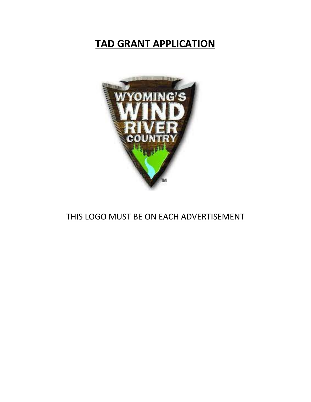# **TAD GRANT APPLICATION**



## THIS LOGO MUST BE ON EACH ADVERTISEMENT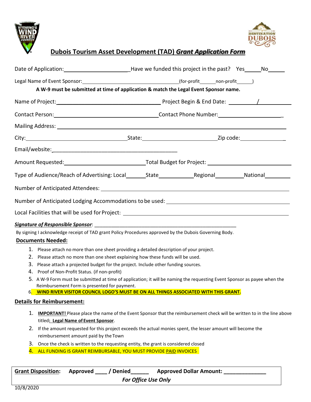



## **Dubois Tourism Asset Development (TAD)** *Grant Application Form*

| A W-9 must be submitted at time of application & match the Legal Event Sponsor name.                                                                    |                                |  |  |  |  |
|---------------------------------------------------------------------------------------------------------------------------------------------------------|--------------------------------|--|--|--|--|
|                                                                                                                                                         |                                |  |  |  |  |
|                                                                                                                                                         |                                |  |  |  |  |
|                                                                                                                                                         |                                |  |  |  |  |
|                                                                                                                                                         |                                |  |  |  |  |
|                                                                                                                                                         |                                |  |  |  |  |
|                                                                                                                                                         |                                |  |  |  |  |
|                                                                                                                                                         |                                |  |  |  |  |
|                                                                                                                                                         |                                |  |  |  |  |
| Number of Anticipated Lodging Accommodations to be used: ________________________                                                                       |                                |  |  |  |  |
| Local Facilities that will be used for Project: _________________________________                                                                       |                                |  |  |  |  |
|                                                                                                                                                         |                                |  |  |  |  |
| By signing I acknowledge receipt of TAD grant Policy Procedures approved by the Dubois Governing Body.                                                  |                                |  |  |  |  |
| <b>Documents Needed:</b>                                                                                                                                |                                |  |  |  |  |
| 1. Please attach no more than one sheet providing a detailed description of your project.                                                               |                                |  |  |  |  |
| 2. Please attach no more than one sheet explaining how these funds will be used.                                                                        |                                |  |  |  |  |
| 3. Please attach a projected budget for the project. Include other funding sources.                                                                     |                                |  |  |  |  |
| 4. Proof of Non-Profit Status. (if non-profit)                                                                                                          |                                |  |  |  |  |
| 5. A W-9 Form must be submitted at time of application; it will be naming the requesting Event Sponsor as payee when the                                |                                |  |  |  |  |
| Reimbursement Form is presented for payment.<br>WIND RIVER VISITOR COUNCIL LOGO'S MUST BE ON ALL THINGS ASSOCIATED WITH THIS GRANT.<br>ხ.               |                                |  |  |  |  |
| <b>Details for Reimbursement:</b>                                                                                                                       |                                |  |  |  |  |
| 1.<br><b>IMPORTANT!</b> Please place the name of the Event Sponsor that the reimbursement check will be written to in the line above                    |                                |  |  |  |  |
| titled: Legal Name of Event Sponsor.                                                                                                                    |                                |  |  |  |  |
| 2. If the amount requested for this project exceeds the actual monies spent, the lesser amount will become the<br>reimbursement amount paid by the Town |                                |  |  |  |  |
| 3.<br>Once the check is written to the requesting entity, the grant is considered closed                                                                |                                |  |  |  |  |
| ALL FUNDING IS GRANT REIMBURSABLE, YOU MUST PROVIDE PAID INVOICES<br>4.                                                                                 |                                |  |  |  |  |
|                                                                                                                                                         |                                |  |  |  |  |
| <b>Denied</b><br><b>Grant Disposition:</b><br>Approved                                                                                                  | <b>Approved Dollar Amount:</b> |  |  |  |  |

*For Office Use Only*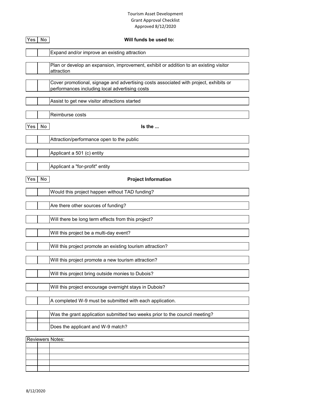#### Tourism Asset Development Grant Approval Checklist Approved 8/12/2020

| Yes        | <b>No</b>        | Will funds be used to:                                                                                                                  |  |
|------------|------------------|-----------------------------------------------------------------------------------------------------------------------------------------|--|
|            |                  | Expand and/or improve an existing attraction                                                                                            |  |
|            |                  | Plan or develop an expansion, improvement, exhibit or addition to an existing visitor<br>attraction                                     |  |
|            |                  | Cover promotional, signage and advertising costs associated with project, exhibits or<br>performances including local advertising costs |  |
|            |                  | Assist to get new visitor attractions started                                                                                           |  |
|            |                  | Reimburse costs                                                                                                                         |  |
| <b>Yes</b> | <b>No</b>        | Is the                                                                                                                                  |  |
|            |                  | Attraction/performance open to the public                                                                                               |  |
|            |                  | Applicant a 501 (c) entity                                                                                                              |  |
|            |                  | Applicant a "for-profit" entity                                                                                                         |  |
| <b>Yes</b> | No               | <b>Project Information</b>                                                                                                              |  |
|            |                  | Would this project happen without TAD funding?                                                                                          |  |
|            |                  | Are there other sources of funding?                                                                                                     |  |
|            |                  | Will there be long term effects from this project?                                                                                      |  |
|            |                  | Will this project be a multi-day event?                                                                                                 |  |
|            |                  | Will this project promote an existing tourism attraction?                                                                               |  |
|            |                  | Will this project promote a new tourism attraction?                                                                                     |  |
|            |                  | Will this project bring outside monies to Dubois?                                                                                       |  |
|            |                  | Will this project encourage overnight stays in Dubois?                                                                                  |  |
|            |                  | A completed W-9 must be submitted with each application.                                                                                |  |
|            |                  | Was the grant application submitted two weeks prior to the council meeting?                                                             |  |
|            |                  | Does the applicant and W-9 match?                                                                                                       |  |
|            | Reviewers Notes: |                                                                                                                                         |  |
|            |                  |                                                                                                                                         |  |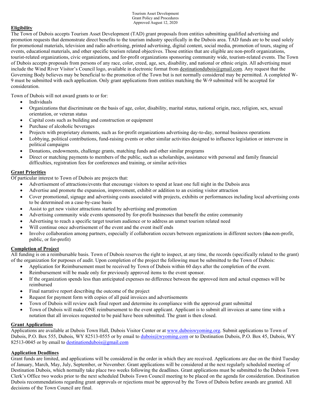Tourism Asset Development Grant Policy and Procedures Approved August 12, 2020

#### **Eligibility**

The Town of Dubois accepts Tourism Asset Development (TAD) grant proposals from entities submitting qualified advertising and promotion requests that demonstrate direct benefits to the tourism industry specifically in the Dubois area. TAD funds are to be used solely for promotional materials, television and radio advertising, printed advertising, digital content, social media, promotion of tours, staging of events, educational materials, and other specific tourism related objectives. Those entities that are eligible are non-profit organizations, tourist-related organizations, civic organizations, and for-profit organizations sponsoring community wide, tourism-related events. The Town of Dubois accepts proposals from persons of any race, color, creed, age, sex, disability, and national or ethnic origin. All advertising must include the Wind River Visitor's Council logo, available in electronic format from destinationdubois@gmail.com. Any request that the Governing Body believes may be beneficial to the promotion of the Town but is not normally considered may be permitted. A completed W-9 must be submitted with each application. Only grant applications from entities matching the W-9 submitted will be accepted for consideration.

Town of Dubois will not award grants to or for:

- Individuals
- Organizations that discriminate on the basis of age, color, disability, marital status, national origin, race, religion, sex, sexual orientation, or veteran status
- Capital costs such as building and construction or equipment
- Purchase of alcoholic beverages
- Projects with proprietary elements, such as for-profit organizations advertising day-to-day, normal business operations
- Lobbying, political contributions, fund-raising events or other similar activities designed to influence legislation or intervene in political campaigns
- Donations, endowments, challenge grants, matching funds and other similar programs
- Direct or matching payments to members of the public, such as scholarships, assistance with personal and family financial difficulties, registration fees for conferences and training, or similar activities

#### **Grant Priorities**

Of particular interest to Town of Dubois are projects that:

- Advertisement of attractions/events that encourage visitors to spend at least one full night in the Dubois area
- Advertise and promote the expansion, improvement, exhibit or addition to an existing visitor attraction
- Cover promotional, signage and advertising costs associated with projects, exhibits or performances including local advertising costs to be determined on a case-by-case basis
- Assist to get new visitor attractions started by advertising and promotion
- Advertising community wide events sponsored by for-profit businesses that benefit the entire community
- Advertising to reach a specific target tourism audience or to address an unmet tourism related need
- Will continue once advertisement of the event and the event itself ends
- Involve collaboration among partners, especially if collaboration occurs between organizations in different sectors (the non-profit, public, or for-profit)

#### **Completion of Project**

All funding is on a reimbursable basis. Town of Dubois reserves the right to inspect, at any time, the records (specifically related to the grant) of the organization for purposes of audit. Upon completion of the project the following must be submitted to the Town of Dubois:

- Application for Reimbursement must be received by Town of Dubois within 60 days after the completion of the event.
- Reimbursement will be made only for previously approved items to the event sponsor.
- If the organization spends less than anticipated expenses no difference between the approved item and actual expenses will be reimbursed
- Final narrative report describing the outcome of the project
- Request for payment form with copies of all paid invoices and advertisements
- Town of Dubois will review each final report and determine its compliance with the approved grant submittal
- Town of Dubois will make ONE reimbursement to the event applicant. Applicant is to submit all invoices at same time with a notation that all invoices requested to be paid have been submitted. The grant is then closed.

#### **Grant Applications**

Applications are available at Dubois Town Hall, Dubois Visitor Center or at www.duboiswyoming.org. Submit applications to Town of Dubois, P.O. Box 555, Dubois, WY 82513-0555 or by email to dubois@wyoming.com or to Destination Dubois, P.O. Box 45, Dubois, WY 82513-0045 or by email to destinationdubois@gmail.com

#### **Application Deadlines**

Grant funds are limited, and applications will be considered in the order in which they are received. Applications are due on the third Tuesday of January, March, May, July, September, or November. Grant applications will be considered at the next regularly scheduled meeting of Destination Dubois, which normally take place two weeks following the deadlines. Grant applications must be submitted to the Dubois Town Clerk's Office two weeks prior to the next scheduled Dubois Town Council meeting to be placed on the agenda for consideration. Destination Dubois recommendations regarding grant approvals or rejections must be approved by the Town of Dubois before awards are granted. All decisions of the Town Council are final.